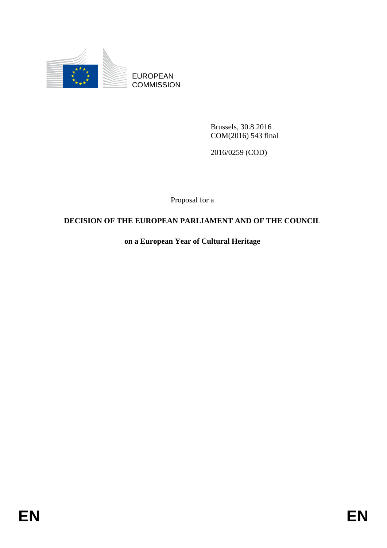

EUROPEAN **COMMISSION** 

> Brussels, 30.8.2016 COM(2016) 543 final

2016/0259 (COD)

Proposal for a

# **DECISION OF THE EUROPEAN PARLIAMENT AND OF THE COUNCIL**

**on a European Year of Cultural Heritage**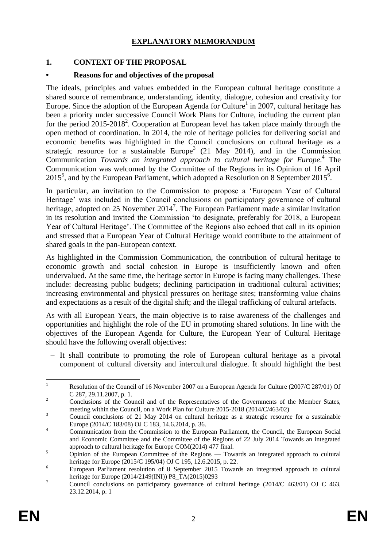## **EXPLANATORY MEMORANDUM**

## **1. CONTEXT OF THE PROPOSAL**

### **• Reasons for and objectives of the proposal**

The ideals, principles and values embedded in the European cultural heritage constitute a shared source of remembrance, understanding, identity, dialogue, cohesion and creativity for Europe. Since the adoption of the European Agenda for Culture<sup>1</sup> in 2007, cultural heritage has been a priority under successive Council Work Plans for Culture, including the current plan for the period 2015-2018<sup>2</sup>. Cooperation at European level has taken place mainly through the open method of coordination. In 2014, the role of heritage policies for delivering social and economic benefits was highlighted in the Council conclusions on cultural heritage as a strategic resource for a sustainable Europe<sup>3</sup> (21 May 2014), and in the Commission Communication *Towards an integrated approach to cultural heritage for Europe*. 4 The Communication was welcomed by the Committee of the Regions in its Opinion of 16 April  $2015^5$ , and by the European Parliament, which adopted a Resolution on 8 September 2015<sup>6</sup>.

In particular, an invitation to the Commission to propose a 'European Year of Cultural Heritage' was included in the Council conclusions on participatory governance of cultural heritage, adopted on 25 November 2014<sup>7</sup>. The European Parliament made a similar invitation in its resolution and invited the Commission 'to designate, preferably for 2018, a European Year of Cultural Heritage'. The Committee of the Regions also echoed that call in its opinion and stressed that a European Year of Cultural Heritage would contribute to the attainment of shared goals in the pan-European context.

As highlighted in the Commission Communication, the contribution of cultural heritage to economic growth and social cohesion in Europe is insufficiently known and often undervalued. At the same time, the heritage sector in Europe is facing many challenges. These include: decreasing public budgets; declining participation in traditional cultural activities; increasing environmental and physical pressures on heritage sites; transforming value chains and expectations as a result of the digital shift; and the illegal trafficking of cultural artefacts.

As with all European Years, the main objective is to raise awareness of the challenges and opportunities and highlight the role of the EU in promoting shared solutions. In line with the objectives of the European Agenda for Culture, the European Year of Cultural Heritage should have the following overall objectives:

– It shall contribute to promoting the role of European cultural heritage as a pivotal component of cultural diversity and intercultural dialogue. It should highlight the best

 $\mathbf{1}$ Resolution of the Council of 16 November 2007 on a European Agenda for Culture (2007/C 287/01) OJ C 287, 29.11.2007, p. 1.

<sup>&</sup>lt;sup>2</sup> Conclusions of the Council and of the Representatives of the Governments of the Member States, meeting within the Council, on a Work Plan for Culture 2015-2018 (2014/C/463/02)

<sup>&</sup>lt;sup>3</sup> Council conclusions of 21 May 2014 on cultural heritage as a strategic resource for a sustainable Europe (2014/C 183/08) OJ C 183, 14.6.2014, p. 36.

<sup>&</sup>lt;sup>4</sup> Communication from the Commission to the European Parliament, the Council, the European Social and Economic Committee and the Committee of the Regions of 22 July 2014 Towards an integrated approach to cultural heritage for Europe COM(2014) 477 final.

<sup>&</sup>lt;sup>5</sup> Opinion of the European Committee of the Regions — Towards an integrated approach to cultural heritage for Europe (2015/C 195/04) OJ C 195, 12.6.2015, p. 22.

<sup>&</sup>lt;sup>6</sup> European Parliament resolution of 8 September 2015 Towards an integrated approach to cultural heritage for Europe (2014/2149(INI)) P8\_TA(2015)0293

<sup>&</sup>lt;sup>7</sup> Council conclusions on participatory governance of cultural heritage (2014/C 463/01) OJ C 463, 23.12.2014, p. 1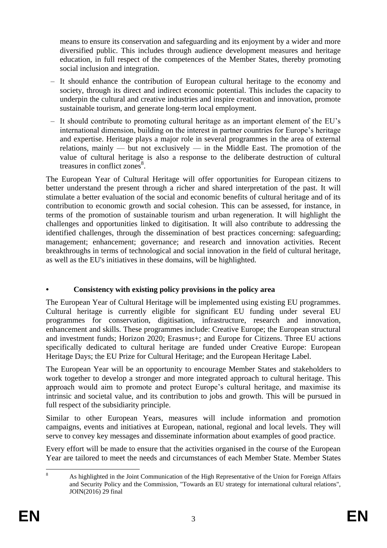means to ensure its conservation and safeguarding and its enjoyment by a wider and more diversified public. This includes through audience development measures and heritage education, in full respect of the competences of the Member States, thereby promoting social inclusion and integration.

- It should enhance the contribution of European cultural heritage to the economy and society, through its direct and indirect economic potential. This includes the capacity to underpin the cultural and creative industries and inspire creation and innovation, promote sustainable tourism, and generate long-term local employment.
- It should contribute to promoting cultural heritage as an important element of the EU's international dimension, building on the interest in partner countries for Europe's heritage and expertise. Heritage plays a major role in several programmes in the area of external relations, mainly — but not exclusively — in the Middle East. The promotion of the value of cultural heritage is also a response to the deliberate destruction of cultural treasures in conflict zones<sup>8</sup>.

The European Year of Cultural Heritage will offer opportunities for European citizens to better understand the present through a richer and shared interpretation of the past. It will stimulate a better evaluation of the social and economic benefits of cultural heritage and of its contribution to economic growth and social cohesion. This can be assessed, for instance, in terms of the promotion of sustainable tourism and urban regeneration. It will highlight the challenges and opportunities linked to digitisation. It will also contribute to addressing the identified challenges, through the dissemination of best practices concerning: safeguarding; management; enhancement; governance; and research and innovation activities. Recent breakthroughs in terms of technological and social innovation in the field of cultural heritage, as well as the EU's initiatives in these domains, will be highlighted.

# **• Consistency with existing policy provisions in the policy area**

The European Year of Cultural Heritage will be implemented using existing EU programmes. Cultural heritage is currently eligible for significant EU funding under several EU programmes for conservation, digitisation, infrastructure, research and innovation, enhancement and skills. These programmes include: Creative Europe; the European structural and investment funds; Horizon 2020; Erasmus+; and Europe for Citizens. Three EU actions specifically dedicated to cultural heritage are funded under Creative Europe: European Heritage Days; the EU Prize for Cultural Heritage; and the European Heritage Label.

The European Year will be an opportunity to encourage Member States and stakeholders to work together to develop a stronger and more integrated approach to cultural heritage. This approach would aim to promote and protect Europe's cultural heritage, and maximise its intrinsic and societal value, and its contribution to jobs and growth. This will be pursued in full respect of the subsidiarity principle.

Similar to other European Years, measures will include information and promotion campaigns, events and initiatives at European, national, regional and local levels. They will serve to convey key messages and disseminate information about examples of good practice.

Every effort will be made to ensure that the activities organised in the course of the European Year are tailored to meet the needs and circumstances of each Member State. Member States

 $\mathbf{Q}$ <sup>8</sup> As highlighted in the Joint Communication of the High Representative of the Union for Foreign Affairs and Security Policy and the Commission, "Towards an EU strategy for international cultural relations", JOIN(2016) 29 final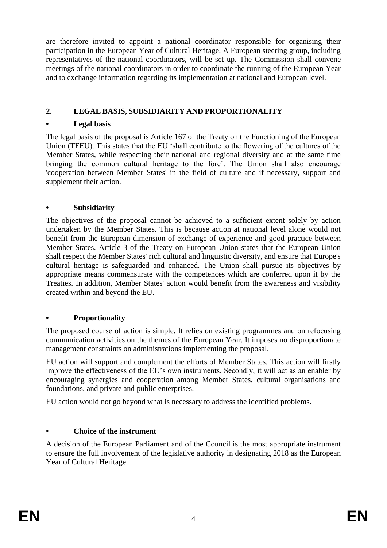are therefore invited to appoint a national coordinator responsible for organising their participation in the European Year of Cultural Heritage. A European steering group, including representatives of the national coordinators, will be set up. The Commission shall convene meetings of the national coordinators in order to coordinate the running of the European Year and to exchange information regarding its implementation at national and European level.

# **2. LEGAL BASIS, SUBSIDIARITY AND PROPORTIONALITY**

# **• Legal basis**

The legal basis of the proposal is Article 167 of the Treaty on the Functioning of the European Union (TFEU). This states that the EU 'shall contribute to the flowering of the cultures of the Member States, while respecting their national and regional diversity and at the same time bringing the common cultural heritage to the fore'. The Union shall also encourage 'cooperation between Member States' in the field of culture and if necessary, support and supplement their action.

# **• Subsidiarity**

The objectives of the proposal cannot be achieved to a sufficient extent solely by action undertaken by the Member States. This is because action at national level alone would not benefit from the European dimension of exchange of experience and good practice between Member States. Article 3 of the Treaty on European Union states that the European Union shall respect the Member States' rich cultural and linguistic diversity, and ensure that Europe's cultural heritage is safeguarded and enhanced. The Union shall pursue its objectives by appropriate means commensurate with the competences which are conferred upon it by the Treaties. In addition, Member States' action would benefit from the awareness and visibility created within and beyond the EU.

# **• Proportionality**

The proposed course of action is simple. It relies on existing programmes and on refocusing communication activities on the themes of the European Year. It imposes no disproportionate management constraints on administrations implementing the proposal.

EU action will support and complement the efforts of Member States. This action will firstly improve the effectiveness of the EU's own instruments. Secondly, it will act as an enabler by encouraging synergies and cooperation among Member States, cultural organisations and foundations, and private and public enterprises.

EU action would not go beyond what is necessary to address the identified problems.

# **• Choice of the instrument**

A decision of the European Parliament and of the Council is the most appropriate instrument to ensure the full involvement of the legislative authority in designating 2018 as the European Year of Cultural Heritage.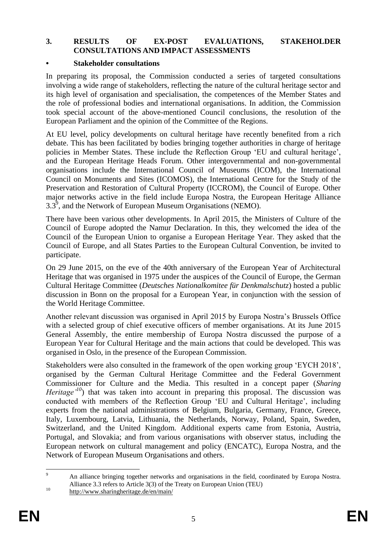### **3. RESULTS OF EX-POST EVALUATIONS, STAKEHOLDER CONSULTATIONS AND IMPACT ASSESSMENTS**

### **• Stakeholder consultations**

In preparing its proposal, the Commission conducted a series of targeted consultations involving a wide range of stakeholders, reflecting the nature of the cultural heritage sector and its high level of organisation and specialisation, the competences of the Member States and the role of professional bodies and international organisations. In addition, the Commission took special account of the above-mentioned Council conclusions, the resolution of the European Parliament and the opinion of the Committee of the Regions.

At EU level, policy developments on cultural heritage have recently benefited from a rich debate. This has been facilitated by bodies bringing together authorities in charge of heritage policies in Member States. These include the Reflection Group 'EU and cultural heritage', and the European Heritage Heads Forum. Other intergovernmental and non-governmental organisations include the International Council of Museums (ICOM), the International Council on Monuments and Sites (ICOMOS), the International Centre for the Study of the Preservation and Restoration of Cultural Property (ICCROM), the Council of Europe. Other major networks active in the field include Europa Nostra, the European Heritage Alliance  $3.3<sup>9</sup>$ , and the Network of European Museum Organisations (NEMO).

There have been various other developments. In April 2015, the Ministers of Culture of the Council of Europe adopted the Namur Declaration. In this, they welcomed the idea of the Council of the European Union to organise a European Heritage Year. They asked that the Council of Europe, and all States Parties to the European Cultural Convention, be invited to participate.

On 29 June 2015, on the eve of the 40th anniversary of the European Year of Architectural Heritage that was organised in 1975 under the auspices of the Council of Europe, the German Cultural Heritage Committee (*Deutsches Nationalkomitee für Denkmalschutz*) hosted a public discussion in Bonn on the proposal for a European Year, in conjunction with the session of the World Heritage Committee.

Another relevant discussion was organised in April 2015 by Europa Nostra's Brussels Office with a selected group of chief executive officers of member organisations. At its June 2015 General Assembly, the entire membership of Europa Nostra discussed the purpose of a European Year for Cultural Heritage and the main actions that could be developed. This was organised in Oslo, in the presence of the European Commission.

Stakeholders were also consulted in the framework of the open working group 'EYCH 2018', organised by the German Cultural Heritage Committee and the Federal Government Commissioner for Culture and the Media. This resulted in a concept paper (*Sharing Heritage*<sup> $10$ </sup>) that was taken into account in preparing this proposal. The discussion was conducted with members of the Reflection Group 'EU and Cultural Heritage', including experts from the national administrations of Belgium, Bulgaria, Germany, France, Greece, Italy, Luxembourg, Latvia, Lithuania, the Netherlands, Norway, Poland, Spain, Sweden, Switzerland, and the United Kingdom. Additional experts came from Estonia, Austria, Portugal, and Slovakia; and from various organisations with observer status, including the European network on cultural management and policy (ENCATC), Europa Nostra, and the Network of European Museum Organisations and others.

 $\overline{9}$ <sup>9</sup> An alliance bringing together networks and organisations in the field, coordinated by Europa Nostra. Alliance 3.3 refers to Article 3(3) of the Treaty on European Union (TEU)

 $10$  <http://www.sharingheritage.de/en/main/>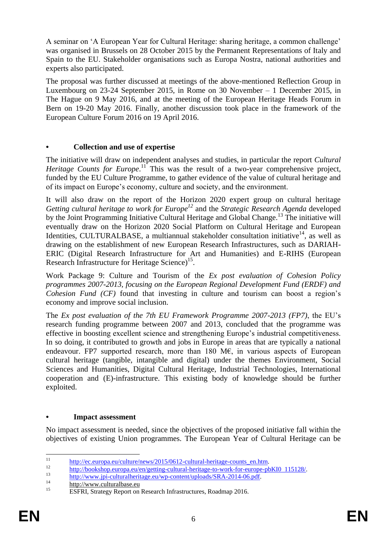A seminar on 'A European Year for Cultural Heritage: sharing heritage, a common challenge' was organised in Brussels on 28 October 2015 by the Permanent Representations of Italy and Spain to the EU. Stakeholder organisations such as Europa Nostra, national authorities and experts also participated.

The proposal was further discussed at meetings of the above-mentioned Reflection Group in Luxembourg on 23-24 September 2015, in Rome on 30 November – 1 December 2015, in The Hague on 9 May 2016, and at the meeting of the European Heritage Heads Forum in Bern on 19-20 May 2016. Finally, another discussion took place in the framework of the European Culture Forum 2016 on 19 April 2016.

# **• Collection and use of expertise**

The initiative will draw on independent analyses and studies, in particular the report *Cultural Heritage Counts for Europe*.<sup>11</sup> This was the result of a two-year comprehensive project, funded by the EU Culture Programme, to gather evidence of the value of cultural heritage and of its impact on Europe's economy, culture and society, and the environment.

It will also draw on the report of the Horizon 2020 expert group on cultural heritage *Getting cultural heritage to work for Europe<sup>12</sup>* and the *Strategic Research Agenda* developed by the Joint Programming Initiative Cultural Heritage and Global Change.<sup>13</sup> The initiative will eventually draw on the Horizon 2020 Social Platform on Cultural Heritage and European Identities, CULTURALBASE, a multiannual stakeholder consultation initiative<sup>14</sup>, as well as drawing on the establishment of new European Research Infrastructures, such as DARIAH-ERIC (Digital Research Infrastructure for Art and Humanities) and E-RIHS (European Research Infrastructure for Heritage Science)<sup>15</sup>.

Work Package 9: Culture and Tourism of the *Ex post evaluation of Cohesion Policy programmes 2007-2013, focusing on the European Regional Development Fund (ERDF) and Cohesion Fund (CF)* found that investing in culture and tourism can boost a region's economy and improve social inclusion.

The *Ex post evaluation of the 7th EU Framework Programme 2007-2013 (FP7)*, the EU's research funding programme between 2007 and 2013, concluded that the programme was effective in boosting excellent science and strengthening Europe's industrial competitiveness. In so doing, it contributed to growth and jobs in Europe in areas that are typically a national endeavour. FP7 supported research, more than 180 M€, in various aspects of European cultural heritage (tangible, intangible and digital) under the themes Environment, Social Sciences and Humanities, Digital Cultural Heritage, Industrial Technologies, International cooperation and (E)-infrastructure. This existing body of knowledge should be further exploited.

# **• Impact assessment**

No impact assessment is needed, since the objectives of the proposed initiative fall within the objectives of existing Union programmes. The European Year of Cultural Heritage can be

 $11$  $\frac{\text{http://ec.europa.eu/culture/news/2015/0612-cultural-heritage-counts_en.htm}}{12}$ 

<sup>&</sup>lt;sup>12</sup> [http://bookshop.europa.eu/en/getting-cultural-heritage-to-work-for-europe-pbKI0 115128/.](http://bookshop.europa.eu/en/getting-cultural-heritage-to-work-for-europe-pbKI0115128/)

<sup>&</sup>lt;sup>13</sup> [http://www.jpi-culturalheritage.eu/wp-content/uploads/SRA-2014-06.pdf.](http://www.jpi-culturalheritage.eu/wp-content/uploads/SRA-2014-06.pdf)

 $\frac{14}{15}$  [http://www.culturalbase.eu](http://www.culturalbase.eu/)

<sup>15</sup> ESFRI, Strategy Report on Research Infrastructures, Roadmap 2016.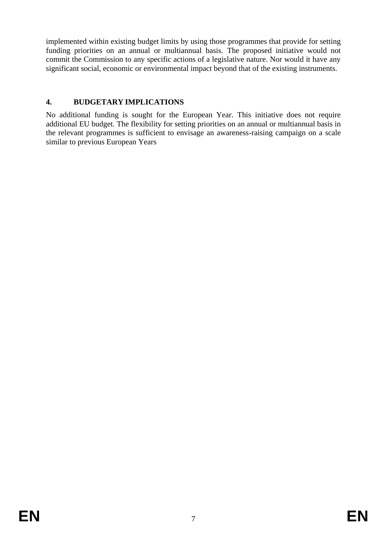implemented within existing budget limits by using those programmes that provide for setting funding priorities on an annual or multiannual basis. The proposed initiative would not commit the Commission to any specific actions of a legislative nature. Nor would it have any significant social, economic or environmental impact beyond that of the existing instruments.

# **4. BUDGETARY IMPLICATIONS**

No additional funding is sought for the European Year. This initiative does not require additional EU budget. The flexibility for setting priorities on an annual or multiannual basis in the relevant programmes is sufficient to envisage an awareness-raising campaign on a scale similar to previous European Years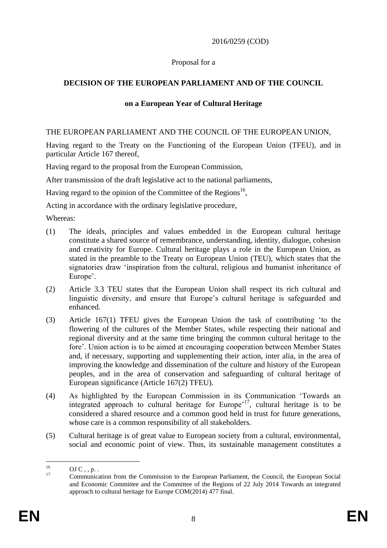## 2016/0259 (COD)

## Proposal for a

# **DECISION OF THE EUROPEAN PARLIAMENT AND OF THE COUNCIL**

## **on a European Year of Cultural Heritage**

## THE EUROPEAN PARLIAMENT AND THE COUNCIL OF THE EUROPEAN UNION,

Having regard to the Treaty on the Functioning of the European Union (TFEU), and in particular Article 167 thereof,

Having regard to the proposal from the European Commission,

After transmission of the draft legislative act to the national parliaments,

Having regard to the opinion of the Committee of the Regions<sup>16</sup>,

Acting in accordance with the ordinary legislative procedure,

Whereas:

- (1) The ideals, principles and values embedded in the European cultural heritage constitute a shared source of remembrance, understanding, identity, dialogue, cohesion and creativity for Europe. Cultural heritage plays a role in the European Union, as stated in the preamble to the Treaty on European Union (TEU), which states that the signatories draw 'inspiration from the cultural, religious and humanist inheritance of Europe'.
- (2) Article 3.3 TEU states that the European Union shall respect its rich cultural and linguistic diversity, and ensure that Europe's cultural heritage is safeguarded and enhanced.
- (3) Article 167(1) TFEU gives the European Union the task of contributing 'to the flowering of the cultures of the Member States, while respecting their national and regional diversity and at the same time bringing the common cultural heritage to the fore'. Union action is to be aimed at encouraging cooperation between Member States and, if necessary, supporting and supplementing their action, inter alia, in the area of improving the knowledge and dissemination of the culture and history of the European peoples, and in the area of conservation and safeguarding of cultural heritage of European significance (Article 167(2) TFEU).
- (4) As highlighted by the European Commission in its Communication 'Towards an integrated approach to cultural heritage for Europe'<sup>17</sup>, cultural heritage is to be considered a shared resource and a common good held in trust for future generations, whose care is a common responsibility of all stakeholders.
- (5) Cultural heritage is of great value to European society from a cultural, environmental, social and economic point of view. Thus, its sustainable management constitutes a

 $16^{1}$  $\frac{16}{17}$  OJ C, , p.

<sup>17</sup> Communication from the Commission to the European Parliament, the Council, the European Social and Economic Committee and the Committee of the Regions of 22 July 2014 Towards an integrated approach to cultural heritage for Europe COM(2014) 477 final.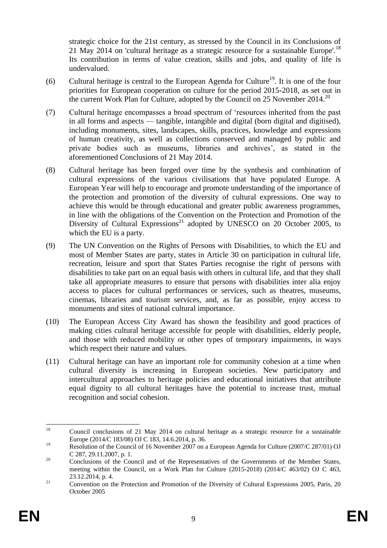strategic choice for the 21st century, as stressed by the Council in its Conclusions of 21 May 2014 on 'cultural heritage as a strategic resource for a sustainable Europe'.<sup>18</sup> Its contribution in terms of value creation, skills and jobs, and quality of life is undervalued.

- (6) Cultural heritage is central to the European Agenda for Culture<sup>19</sup>. It is one of the four priorities for European cooperation on culture for the period 2015-2018, as set out in the current Work Plan for Culture, adopted by the Council on 25 November 2014.<sup>20</sup>
- (7) Cultural heritage encompasses a broad spectrum of 'resources inherited from the past in all forms and aspects — tangible, intangible and digital (born digital and digitised), including monuments, sites, landscapes, skills, practices, knowledge and expressions of human creativity, as well as collections conserved and managed by public and private bodies such as museums, libraries and archives', as stated in the aforementioned Conclusions of 21 May 2014.
- (8) Cultural heritage has been forged over time by the synthesis and combination of cultural expressions of the various civilisations that have populated Europe. A European Year will help to encourage and promote understanding of the importance of the protection and promotion of the diversity of cultural expressions. One way to achieve this would be through educational and greater public awareness programmes, in line with the obligations of the Convention on the Protection and Promotion of the Diversity of Cultural Expressions<sup>21</sup> adopted by UNESCO on 20 October 2005, to which the EU is a party.
- (9) The UN Convention on the Rights of Persons with Disabilities, to which the EU and most of Member States are party, states in Article 30 on participation in cultural life, recreation, leisure and sport that States Parties recognise the right of persons with disabilities to take part on an equal basis with others in cultural life, and that they shall take all appropriate measures to ensure that persons with disabilities inter alia enjoy access to places for cultural performances or services, such as theatres, museums, cinemas, libraries and tourism services, and, as far as possible, enjoy access to monuments and sites of national cultural importance.
- (10) The European Access City Award has shown the feasibility and good practices of making cities cultural heritage accessible for people with disabilities, elderly people, and those with reduced mobility or other types of temporary impairments, in ways which respect their nature and values.
- (11) Cultural heritage can have an important role for community cohesion at a time when cultural diversity is increasing in European societies. New participatory and intercultural approaches to heritage policies and educational initiatives that attribute equal dignity to all cultural heritages have the potential to increase trust, mutual recognition and social cohesion.

 $18\,$ <sup>18</sup> Council conclusions of 21 May 2014 on cultural heritage as a strategic resource for a sustainable Europe (2014/C 183/08) OJ C 183, 14.6.2014, p. 36.

<sup>&</sup>lt;sup>19</sup> Resolution of the Council of 16 November 2007 on a European Agenda for Culture (2007/C 287/01) OJ C 287, 29.11.2007, p. 1.

<sup>&</sup>lt;sup>20</sup> Conclusions of the Council and of the Representatives of the Governments of the Member States, meeting within the Council, on a Work Plan for Culture (2015-2018) (2014/C 463/02) OJ C 463, 23.12.2014, p. 4.

<sup>&</sup>lt;sup>21</sup> Convention on the Protection and Promotion of the Diversity of Cultural Expressions 2005, Paris, 20 October 2005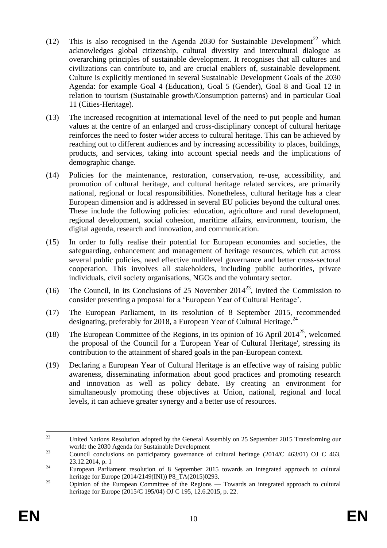- (12) This is also recognised in the Agenda 2030 for Sustainable Development<sup>22</sup> which acknowledges global citizenship, cultural diversity and intercultural dialogue as overarching principles of sustainable development. It recognises that all cultures and civilizations can contribute to, and are crucial enablers of, sustainable development. Culture is explicitly mentioned in several Sustainable Development Goals of the 2030 Agenda: for example Goal 4 (Education), Goal 5 (Gender), Goal 8 and Goal 12 in relation to tourism (Sustainable growth/Consumption patterns) and in particular Goal 11 (Cities-Heritage).
- (13) The increased recognition at international level of the need to put people and human values at the centre of an enlarged and cross-disciplinary concept of cultural heritage reinforces the need to foster wider access to cultural heritage. This can be achieved by reaching out to different audiences and by increasing accessibility to places, buildings, products, and services, taking into account special needs and the implications of demographic change.
- (14) Policies for the maintenance, restoration, conservation, re-use, accessibility, and promotion of cultural heritage, and cultural heritage related services, are primarily national, regional or local responsibilities. Nonetheless, cultural heritage has a clear European dimension and is addressed in several EU policies beyond the cultural ones. These include the following policies: education, agriculture and rural development, regional development, social cohesion, maritime affairs, environment, tourism, the digital agenda, research and innovation, and communication.
- (15) In order to fully realise their potential for European economies and societies, the safeguarding, enhancement and management of heritage resources, which cut across several public policies, need effective multilevel governance and better cross-sectoral cooperation. This involves all stakeholders, including public authorities, private individuals, civil society organisations, NGOs and the voluntary sector.
- (16) The Council, in its Conclusions of 25 November  $2014^{23}$ , invited the Commission to consider presenting a proposal for a 'European Year of Cultural Heritage'.
- (17) The European Parliament, in its resolution of 8 September 2015, recommended designating, preferably for 2018, a European Year of Cultural Heritage.<sup>24</sup>
- (18) The European Committee of the Regions, in its opinion of 16 April 2014<sup>25</sup>, welcomed the proposal of the Council for a 'European Year of Cultural Heritage', stressing its contribution to the attainment of shared goals in the pan-European context.
- (19) Declaring a European Year of Cultural Heritage is an effective way of raising public awareness, disseminating information about good practices and promoting research and innovation as well as policy debate. By creating an environment for simultaneously promoting these objectives at Union, national, regional and local levels, it can achieve greater synergy and a better use of resources.

<sup>22</sup> <sup>22</sup> United Nations Resolution adopted by the General Assembly on 25 September 2015 Transforming our world: the 2030 Agenda for Sustainable Development

<sup>&</sup>lt;sup>23</sup> Council conclusions on participatory governance of cultural heritage (2014/C 463/01) OJ C 463, 23.12.2014, p. 1

<sup>&</sup>lt;sup>24</sup> European Parliament resolution of 8 September 2015 towards an integrated approach to cultural heritage for Europe (2014/2149(INI)) P8\_TA(2015)0293.

 $25$  Opinion of the European Committee of the Regions — Towards an integrated approach to cultural heritage for Europe (2015/C 195/04) OJ C 195, 12.6.2015, p. 22.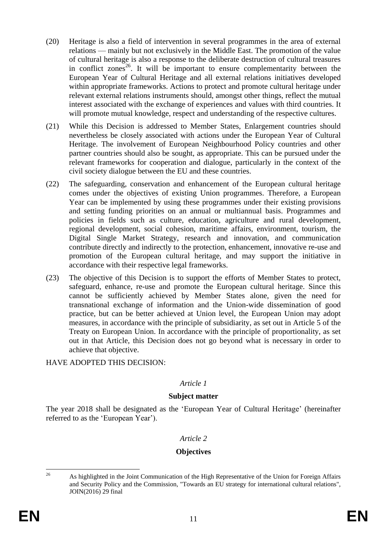- (20) Heritage is also a field of intervention in several programmes in the area of external relations — mainly but not exclusively in the Middle East. The promotion of the value of cultural heritage is also a response to the deliberate destruction of cultural treasures in conflict zones<sup>26</sup>. It will be important to ensure complementarity between the European Year of Cultural Heritage and all external relations initiatives developed within appropriate frameworks. Actions to protect and promote cultural heritage under relevant external relations instruments should, amongst other things, reflect the mutual interest associated with the exchange of experiences and values with third countries. It will promote mutual knowledge, respect and understanding of the respective cultures.
- (21) While this Decision is addressed to Member States, Enlargement countries should nevertheless be closely associated with actions under the European Year of Cultural Heritage. The involvement of European Neighbourhood Policy countries and other partner countries should also be sought, as appropriate. This can be pursued under the relevant frameworks for cooperation and dialogue, particularly in the context of the civil society dialogue between the EU and these countries.
- (22) The safeguarding, conservation and enhancement of the European cultural heritage comes under the objectives of existing Union programmes. Therefore, a European Year can be implemented by using these programmes under their existing provisions and setting funding priorities on an annual or multiannual basis. Programmes and policies in fields such as culture, education, agriculture and rural development, regional development, social cohesion, maritime affairs, environment, tourism, the Digital Single Market Strategy, research and innovation, and communication contribute directly and indirectly to the protection, enhancement, innovative re-use and promotion of the European cultural heritage, and may support the initiative in accordance with their respective legal frameworks.
- (23) The objective of this Decision is to support the efforts of Member States to protect, safeguard, enhance, re-use and promote the European cultural heritage. Since this cannot be sufficiently achieved by Member States alone, given the need for transnational exchange of information and the Union-wide dissemination of good practice, but can be better achieved at Union level, the European Union may adopt measures, in accordance with the principle of subsidiarity, as set out in Article 5 of the Treaty on European Union. In accordance with the principle of proportionality, as set out in that Article, this Decision does not go beyond what is necessary in order to achieve that objective.

# HAVE ADOPTED THIS DECISION:

# *Article 1*

### **Subject matter**

The year 2018 shall be designated as the 'European Year of Cultural Heritage' (hereinafter referred to as the 'European Year').

### *Article 2*

# **Objectives**

 $26$ 

<sup>26</sup> As highlighted in the Joint Communication of the High Representative of the Union for Foreign Affairs and Security Policy and the Commission, "Towards an EU strategy for international cultural relations", JOIN(2016) 29 final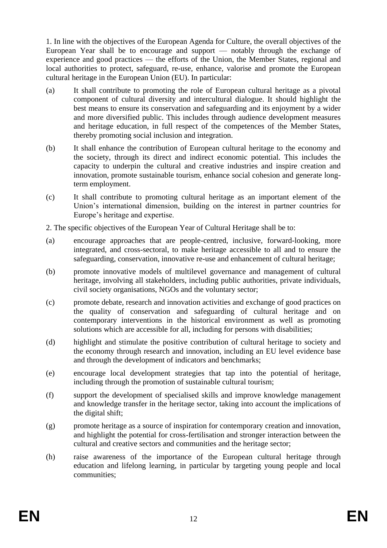1. In line with the objectives of the European Agenda for Culture, the overall objectives of the European Year shall be to encourage and support — notably through the exchange of experience and good practices — the efforts of the Union, the Member States, regional and local authorities to protect, safeguard, re-use, enhance, valorise and promote the European cultural heritage in the European Union (EU). In particular:

- (a) It shall contribute to promoting the role of European cultural heritage as a pivotal component of cultural diversity and intercultural dialogue. It should highlight the best means to ensure its conservation and safeguarding and its enjoyment by a wider and more diversified public. This includes through audience development measures and heritage education, in full respect of the competences of the Member States, thereby promoting social inclusion and integration.
- (b) It shall enhance the contribution of European cultural heritage to the economy and the society, through its direct and indirect economic potential. This includes the capacity to underpin the cultural and creative industries and inspire creation and innovation, promote sustainable tourism, enhance social cohesion and generate longterm employment.
- (c) It shall contribute to promoting cultural heritage as an important element of the Union's international dimension, building on the interest in partner countries for Europe's heritage and expertise.

2. The specific objectives of the European Year of Cultural Heritage shall be to:

- (a) encourage approaches that are people-centred, inclusive, forward-looking, more integrated, and cross-sectoral, to make heritage accessible to all and to ensure the safeguarding, conservation, innovative re-use and enhancement of cultural heritage;
- (b) promote innovative models of multilevel governance and management of cultural heritage, involving all stakeholders, including public authorities, private individuals, civil society organisations, NGOs and the voluntary sector;
- (c) promote debate, research and innovation activities and exchange of good practices on the quality of conservation and safeguarding of cultural heritage and on contemporary interventions in the historical environment as well as promoting solutions which are accessible for all, including for persons with disabilities;
- (d) highlight and stimulate the positive contribution of cultural heritage to society and the economy through research and innovation, including an EU level evidence base and through the development of indicators and benchmarks;
- (e) encourage local development strategies that tap into the potential of heritage, including through the promotion of sustainable cultural tourism;
- (f) support the development of specialised skills and improve knowledge management and knowledge transfer in the heritage sector, taking into account the implications of the digital shift;
- (g) promote heritage as a source of inspiration for contemporary creation and innovation, and highlight the potential for cross-fertilisation and stronger interaction between the cultural and creative sectors and communities and the heritage sector;
- (h) raise awareness of the importance of the European cultural heritage through education and lifelong learning, in particular by targeting young people and local communities;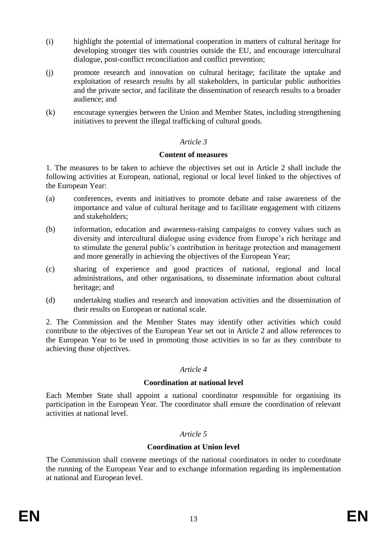- (i) highlight the potential of international cooperation in matters of cultural heritage for developing stronger ties with countries outside the EU, and encourage intercultural dialogue, post-conflict reconciliation and conflict prevention;
- (j) promote research and innovation on cultural heritage; facilitate the uptake and exploitation of research results by all stakeholders, in particular public authorities and the private sector, and facilitate the dissemination of research results to a broader audience; and
- (k) encourage synergies between the Union and Member States, including strengthening initiatives to prevent the illegal trafficking of cultural goods.

## *Article 3*

### **Content of measures**

1. The measures to be taken to achieve the objectives set out in Article 2 shall include the following activities at European, national, regional or local level linked to the objectives of the European Year:

- (a) conferences, events and initiatives to promote debate and raise awareness of the importance and value of cultural heritage and to facilitate engagement with citizens and stakeholders;
- (b) information, education and awareness-raising campaigns to convey values such as diversity and intercultural dialogue using evidence from Europe's rich heritage and to stimulate the general public's contribution in heritage protection and management and more generally in achieving the objectives of the European Year;
- (c) sharing of experience and good practices of national, regional and local administrations, and other organisations, to disseminate information about cultural heritage; and
- (d) undertaking studies and research and innovation activities and the dissemination of their results on European or national scale.

2. The Commission and the Member States may identify other activities which could contribute to the objectives of the European Year set out in Article 2 and allow references to the European Year to be used in promoting those activities in so far as they contribute to achieving those objectives.

### *Article 4*

### **Coordination at national level**

Each Member State shall appoint a national coordinator responsible for organising its participation in the European Year. The coordinator shall ensure the coordination of relevant activities at national level.

### *Article 5*

### **Coordination at Union level**

The Commission shall convene meetings of the national coordinators in order to coordinate the running of the European Year and to exchange information regarding its implementation at national and European level.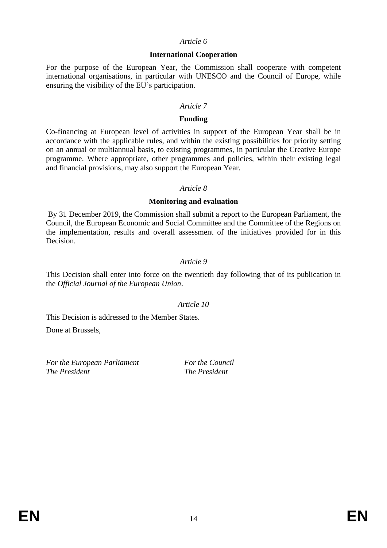#### *Article 6*

#### **International Cooperation**

For the purpose of the European Year, the Commission shall cooperate with competent international organisations, in particular with UNESCO and the Council of Europe, while ensuring the visibility of the EU's participation.

#### *Article 7*

#### **Funding**

Co-financing at European level of activities in support of the European Year shall be in accordance with the applicable rules, and within the existing possibilities for priority setting on an annual or multiannual basis, to existing programmes, in particular the Creative Europe programme. Where appropriate, other programmes and policies, within their existing legal and financial provisions, may also support the European Year.

#### *Article 8*

#### **Monitoring and evaluation**

By 31 December 2019, the Commission shall submit a report to the European Parliament, the Council, the European Economic and Social Committee and the Committee of the Regions on the implementation, results and overall assessment of the initiatives provided for in this Decision.

### *Article 9*

This Decision shall enter into force on the twentieth day following that of its publication in the *Official Journal of the European Union*.

### *Article 10*

This Decision is addressed to the Member States.

Done at Brussels,

*For the European Parliament For the Council The President The President*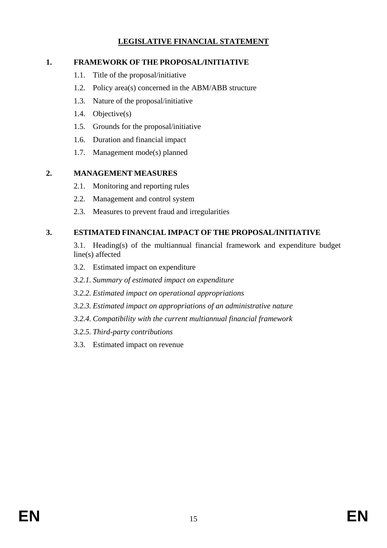# **LEGISLATIVE FINANCIAL STATEMENT**

# **1. FRAMEWORK OF THE PROPOSAL/INITIATIVE**

- 1.1. Title of the proposal/initiative
- 1.2. Policy area(s) concerned in the ABM/ABB structure
- 1.3. Nature of the proposal/initiative
- 1.4. Objective(s)
- 1.5. Grounds for the proposal/initiative
- 1.6. Duration and financial impact
- 1.7. Management mode(s) planned

# **2. MANAGEMENT MEASURES**

- 2.1. Monitoring and reporting rules
- 2.2. Management and control system
- 2.3. Measures to prevent fraud and irregularities

# **3. ESTIMATED FINANCIAL IMPACT OF THE PROPOSAL/INITIATIVE**

- 3.1. Heading(s) of the multiannual financial framework and expenditure budget line(s) affected
- 3.2. Estimated impact on expenditure
- *3.2.1. Summary of estimated impact on expenditure*
- *3.2.2. Estimated impact on operational appropriations*
- *3.2.3. Estimated impact on appropriations of an administrative nature*
- *3.2.4. Compatibility with the current multiannual financial framework*
- *3.2.5. Third-party contributions*
- 3.3. Estimated impact on revenue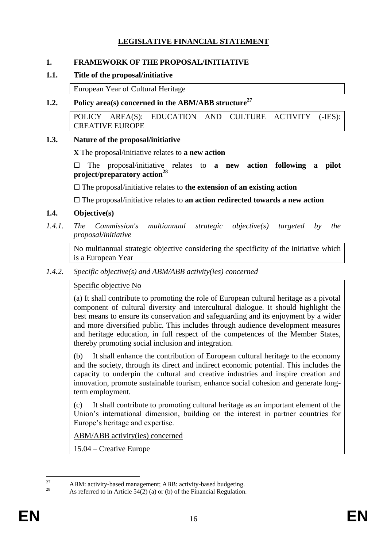# **LEGISLATIVE FINANCIAL STATEMENT**

## **1. FRAMEWORK OF THE PROPOSAL/INITIATIVE**

### **1.1. Title of the proposal/initiative**

European Year of Cultural Heritage

## **1.2. Policy area(s) concerned in the ABM/ABB structure<sup>27</sup>**

POLICY AREA(S): EDUCATION AND CULTURE ACTIVITY (-IES): CREATIVE EUROPE

### **1.3. Nature of the proposal/initiative**

**X** The proposal/initiative relates to **a new action**

 The proposal/initiative relates to **a new action following a pilot project/preparatory action<sup>28</sup>**

The proposal/initiative relates to **the extension of an existing action**

The proposal/initiative relates to **an action redirected towards a new action**

## **1.4. Objective(s)**

*1.4.1. The Commission's multiannual strategic objective(s) targeted by the proposal/initiative* 

No multiannual strategic objective considering the specificity of the initiative which is a European Year

*1.4.2. Specific objective(s) and ABM/ABB activity(ies) concerned* 

### Specific objective No

(a) It shall contribute to promoting the role of European cultural heritage as a pivotal component of cultural diversity and intercultural dialogue. It should highlight the best means to ensure its conservation and safeguarding and its enjoyment by a wider and more diversified public. This includes through audience development measures and heritage education, in full respect of the competences of the Member States, thereby promoting social inclusion and integration.

(b) It shall enhance the contribution of European cultural heritage to the economy and the society, through its direct and indirect economic potential. This includes the capacity to underpin the cultural and creative industries and inspire creation and innovation, promote sustainable tourism, enhance social cohesion and generate longterm employment.

(c) It shall contribute to promoting cultural heritage as an important element of the Union's international dimension, building on the interest in partner countries for Europe's heritage and expertise.

ABM/ABB activity(ies) concerned

15.04 – Creative Europe

<sup>27</sup> <sup>27</sup> ABM: activity-based management; ABB: activity-based budgeting.

As referred to in Article  $54(2)$  (a) or (b) of the Financial Regulation.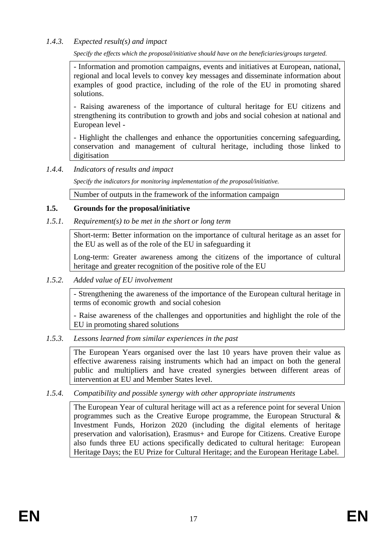# *1.4.3. Expected result(s) and impact*

*Specify the effects which the proposal/initiative should have on the beneficiaries/groups targeted.*

- Information and promotion campaigns, events and initiatives at European, national, regional and local levels to convey key messages and disseminate information about examples of good practice, including of the role of the EU in promoting shared solutions.

- Raising awareness of the importance of cultural heritage for EU citizens and strengthening its contribution to growth and jobs and social cohesion at national and European level -

- Highlight the challenges and enhance the opportunities concerning safeguarding, conservation and management of cultural heritage, including those linked to digitisation

# *1.4.4. Indicators of results and impact*

*Specify the indicators for monitoring implementation of the proposal/initiative.*

Number of outputs in the framework of the information campaign

# **1.5. Grounds for the proposal/initiative**

# *1.5.1. Requirement(s) to be met in the short or long term*

Short-term: Better information on the importance of cultural heritage as an asset for the EU as well as of the role of the EU in safeguarding it

Long-term: Greater awareness among the citizens of the importance of cultural heritage and greater recognition of the positive role of the EU

*1.5.2. Added value of EU involvement*

- Strengthening the awareness of the importance of the European cultural heritage in terms of economic growth and social cohesion

- Raise awareness of the challenges and opportunities and highlight the role of the EU in promoting shared solutions

# *1.5.3. Lessons learned from similar experiences in the past*

The European Years organised over the last 10 years have proven their value as effective awareness raising instruments which had an impact on both the general public and multipliers and have created synergies between different areas of intervention at EU and Member States level.

# *1.5.4. Compatibility and possible synergy with other appropriate instruments*

The European Year of cultural heritage will act as a reference point for several Union programmes such as the Creative Europe programme, the European Structural & Investment Funds, Horizon 2020 (including the digital elements of heritage preservation and valorisation), Erasmus+ and Europe for Citizens. Creative Europe also funds three EU actions specifically dedicated to cultural heritage: European Heritage Days; the EU Prize for Cultural Heritage; and the European Heritage Label.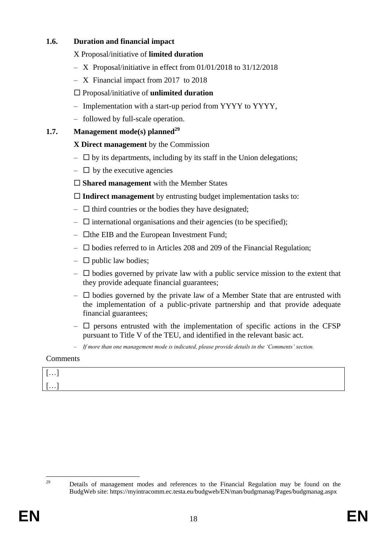# **1.6. Duration and financial impact**

# X Proposal/initiative of **limited duration**

- X Proposal/initiative in effect from 01/01/2018 to 31/12/2018
- X Financial impact from 2017 to 2018

# Proposal/initiative of **unlimited duration**

- Implementation with a start-up period from YYYY to YYYY,
- followed by full-scale operation.

# **1.7. Management mode(s) planned<sup>29</sup>**

# **X Direct management** by the Commission

- $\Box$  by its departments, including by its staff in the Union delegations;
- $\Box$  by the executive agencies
- **Shared management** with the Member States

**Indirect management** by entrusting budget implementation tasks to:

- $\Box$  third countries or the bodies they have designated;
- $\Box$  international organisations and their agencies (to be specified);
- $\Box$  the EIB and the European Investment Fund;
- $\square$  bodies referred to in Articles 208 and 209 of the Financial Regulation;
- $\Box$  public law bodies;
- $\Box$  bodies governed by private law with a public service mission to the extent that they provide adequate financial guarantees;
- $\Box$  bodies governed by the private law of a Member State that are entrusted with the implementation of a public-private partnership and that provide adequate financial guarantees;
- $\Box$  persons entrusted with the implementation of specific actions in the CFSP pursuant to Title V of the TEU, and identified in the relevant basic act.
- *If more than one management mode is indicated, please provide details in the 'Comments' section.*

# **Comments**

| .<br>- |  |
|--------|--|
| .      |  |

<sup>29</sup> Details of management modes and references to the Financial Regulation may be found on the BudgWeb site: https://myintracomm.ec.testa.eu/budgweb/EN/man/budgmanag/Pages/budgmanag.aspx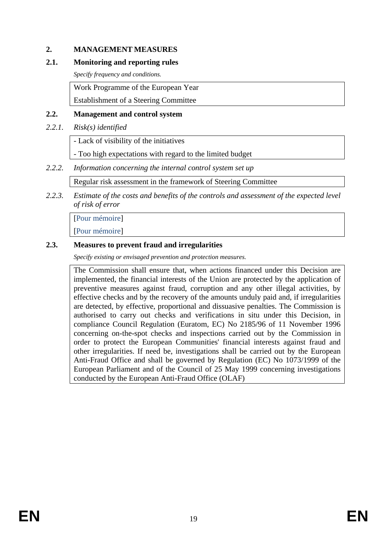## **2. MANAGEMENT MEASURES**

### **2.1. Monitoring and reporting rules**

*Specify frequency and conditions.*

Work Programme of the European Year

Establishment of a Steering Committee

### **2.2. Management and control system**

### *2.2.1. Risk(s) identified*

- Lack of visibility of the initiatives

- Too high expectations with regard to the limited budget

## *2.2.2. Information concerning the internal control system set up*

Regular risk assessment in the framework of Steering Committee

*2.2.3. Estimate of the costs and benefits of the controls and assessment of the expected level of risk of error* 

[Pour mémoire]

[Pour mémoire]

## **2.3. Measures to prevent fraud and irregularities**

*Specify existing or envisaged prevention and protection measures.*

The Commission shall ensure that, when actions financed under this Decision are implemented, the financial interests of the Union are protected by the application of preventive measures against fraud, corruption and any other illegal activities, by effective checks and by the recovery of the amounts unduly paid and, if irregularities are detected, by effective, proportional and dissuasive penalties. The Commission is authorised to carry out checks and verifications in situ under this Decision, in compliance Council Regulation (Euratom, EC) No 2185/96 of 11 November 1996 concerning on-the-spot checks and inspections carried out by the Commission in order to protect the European Communities' financial interests against fraud and other irregularities. If need be, investigations shall be carried out by the European Anti-Fraud Office and shall be governed by Regulation (EC) No 1073/1999 of the European Parliament and of the Council of 25 May 1999 concerning investigations conducted by the European Anti-Fraud Office (OLAF)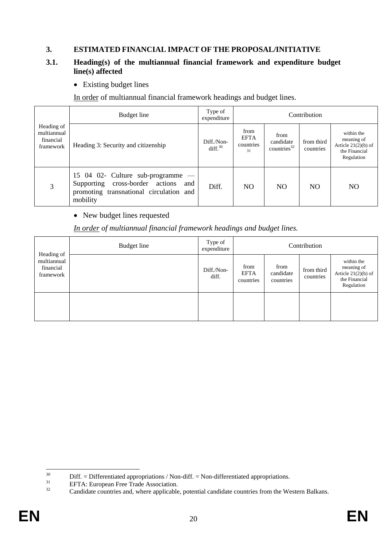## **3. ESTIMATED FINANCIAL IMPACT OF THE PROPOSAL/INITIATIVE**

### **3.1. Heading(s) of the multiannual financial framework and expenditure budget line(s) affected**

• Existing budget lines

In order of multiannual financial framework headings and budget lines.

| Budget line<br>Heading of<br>multiannual<br>financial<br>Heading 3: Security and citizenship<br>framework<br>15 04 02- Culture sub-programme —<br>Supporting cross-border actions<br>and<br>3<br>promoting transnational circulation and |                                   | Type of<br>expenditure                 | Contribution                        |                                                                                  |     |                |  |  |  |  |
|------------------------------------------------------------------------------------------------------------------------------------------------------------------------------------------------------------------------------------------|-----------------------------------|----------------------------------------|-------------------------------------|----------------------------------------------------------------------------------|-----|----------------|--|--|--|--|
|                                                                                                                                                                                                                                          | Diff./Non-<br>diff. <sup>30</sup> | from<br><b>EFTA</b><br>countries<br>31 | from<br>candidate<br>countries $32$ | within the<br>meaning of<br>Article $21(2)(b)$ of<br>the Financial<br>Regulation |     |                |  |  |  |  |
|                                                                                                                                                                                                                                          | mobility                          | Diff.                                  | N <sub>O</sub>                      | N <sub>O</sub>                                                                   | NO. | N <sub>O</sub> |  |  |  |  |

## • New budget lines requested

## *In order of multiannual financial framework headings and budget lines.*

| Heading of                            | Budget line | Type of<br>expenditure |                                  |                                | Contribution            |                                                                                  |
|---------------------------------------|-------------|------------------------|----------------------------------|--------------------------------|-------------------------|----------------------------------------------------------------------------------|
| multiannual<br>financial<br>framework |             | Diff./Non-<br>diff.    | from<br><b>EFTA</b><br>countries | from<br>candidate<br>countries | from third<br>countries | within the<br>meaning of<br>Article $21(2)(b)$ of<br>the Financial<br>Regulation |
|                                       |             |                        |                                  |                                |                         |                                                                                  |

 $30\,$ <sup>30</sup> Diff. = Differentiated appropriations / Non-diff. = Non-differentiated appropriations.<br> $EFTA: European Eroz Tede A session$ 

 $^{31}$  EFTA: European Free Trade Association.

Candidate countries and, where applicable, potential candidate countries from the Western Balkans.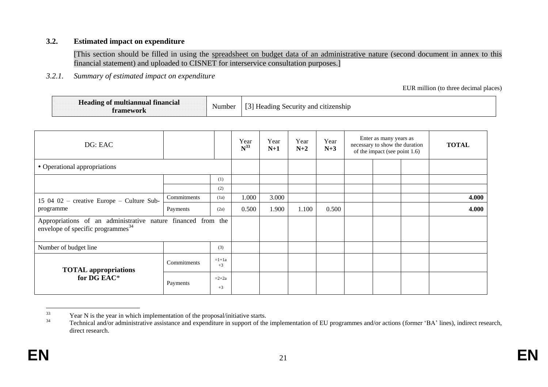#### **3.2. Estimated impact on expenditure**

[This section should be filled in using the [spreadsheet on budget data of an administrative nature](http://www.cc.cec/budg/leg/internal/leg-070_internal_en.html) (second document in annex to this financial statement) and uploaded to CISNET for interservice consultation purposes.]

*3.2.1. Summary of estimated impact on expenditure* 

EUR million (to three decimal places)

| Heading of multiannual financial<br>ramework | Number | Heading Security and citizenship |
|----------------------------------------------|--------|----------------------------------|
|----------------------------------------------|--------|----------------------------------|

| DG: EAC                                                                                              |             | Year<br>$N^{33}$ | Year<br>$N+1$ | Year<br>$N+2$ | Year<br>$N+3$ | Enter as many years as<br>necessary to show the duration<br>of the impact (see point 1.6) |  |  | <b>TOTAL</b> |       |
|------------------------------------------------------------------------------------------------------|-------------|------------------|---------------|---------------|---------------|-------------------------------------------------------------------------------------------|--|--|--------------|-------|
| • Operational appropriations                                                                         |             |                  |               |               |               |                                                                                           |  |  |              |       |
|                                                                                                      |             | (1)              |               |               |               |                                                                                           |  |  |              |       |
|                                                                                                      |             | (2)              |               |               |               |                                                                                           |  |  |              |       |
| $15 \t04 \t02$ – creative Europe – Culture Sub-                                                      | Commitments | (1a)             | 1.000         | 3.000         |               |                                                                                           |  |  |              | 4.000 |
| programme                                                                                            | Payments    | (2a)             | 0.500         | 1.900         | 1.100         | 0.500                                                                                     |  |  |              | 4.000 |
| Appropriations of an administrative nature financed from the<br>envelope of specific programmes $34$ |             |                  |               |               |               |                                                                                           |  |  |              |       |
| Number of budget line                                                                                |             | (3)              |               |               |               |                                                                                           |  |  |              |       |
| <b>TOTAL appropriations</b>                                                                          | Commitments | $=1+1a$<br>$+3$  |               |               |               |                                                                                           |  |  |              |       |
| for DG EAC*                                                                                          | Payments    | $=2+2a$<br>$+3$  |               |               |               |                                                                                           |  |  |              |       |

<sup>33</sup>  $33$  Year N is the year in which implementation of the proposal/initiative starts.

Technical and/or administrative assistance and expenditure in support of the implementation of EU programmes and/or actions (former 'BA' lines), indirect research, direct research.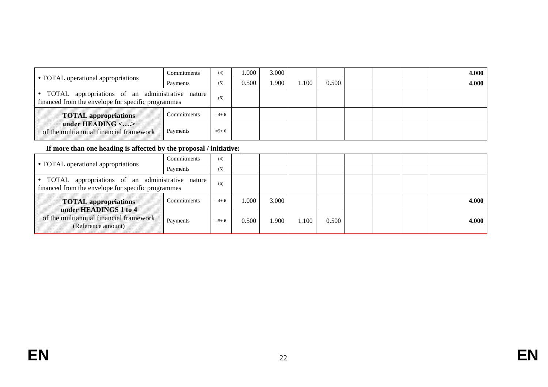|                                                                                                        | Commitments | (4)       | .000  | 3.000 |       |       |  | 4.000 |
|--------------------------------------------------------------------------------------------------------|-------------|-----------|-------|-------|-------|-------|--|-------|
| • TOTAL operational appropriations                                                                     | Payments    | (5)       | 0.500 | .900  | l.100 | 0.500 |  | 4.000 |
| TOTAL appropriations of an administrative nature<br>financed from the envelope for specific programmes | (6)         |           |       |       |       |       |  |       |
| <b>TOTAL</b> appropriations                                                                            | Commitments | $=4+6$    |       |       |       |       |  |       |
| under HEADING $\leq$ ><br>of the multiannual financial framework                                       | Payments    | $= 5 + 6$ |       |       |       |       |  |       |

# **If more than one heading is affected by the proposal / initiative:**

|                                                                                                          | Commitments | (4)       |          |       |      |       |  |       |
|----------------------------------------------------------------------------------------------------------|-------------|-----------|----------|-------|------|-------|--|-------|
| • TOTAL operational appropriations                                                                       | Payments    | (5)       |          |       |      |       |  |       |
| • TOTAL appropriations of an administrative nature<br>financed from the envelope for specific programmes |             | (6)       |          |       |      |       |  |       |
| <b>TOTAL appropriations</b>                                                                              | Commitments | $=4+6$    | $.000$ . | 3.000 |      |       |  | 4.000 |
| under HEADINGS 1 to 4<br>of the multiannual financial framework<br>(Reference amount)                    | Payments    | $= 5 + 6$ | 0.500    | .900  | .100 | 0.500 |  | 4.000 |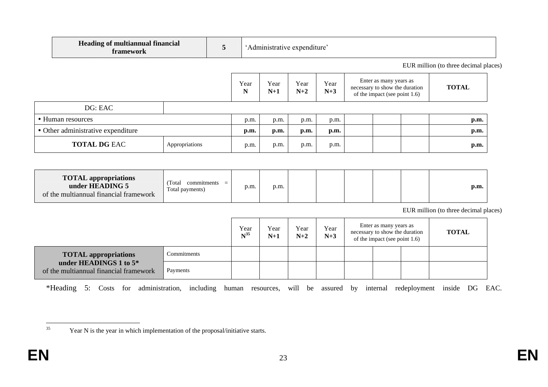| <b>Heading of multiannual financial</b><br>framework                                     | 5                          |                 | 'Administrative expenditure' |               |               |               |                                                                                           |                                       |
|------------------------------------------------------------------------------------------|----------------------------|-----------------|------------------------------|---------------|---------------|---------------|-------------------------------------------------------------------------------------------|---------------------------------------|
|                                                                                          |                            |                 |                              |               |               |               |                                                                                           | EUR million (to three decimal places) |
|                                                                                          |                            |                 | Year<br>N                    | Year<br>$N+1$ | Year<br>$N+2$ | Year<br>$N+3$ | Enter as many years as<br>necessary to show the duration<br>of the impact (see point 1.6) | <b>TOTAL</b>                          |
| DG: EAC                                                                                  |                            |                 |                              |               |               |               |                                                                                           |                                       |
| • Human resources                                                                        |                            |                 | p.m.                         | p.m.          | p.m.          | p.m.          |                                                                                           | p.m.                                  |
| • Other administrative expenditure                                                       |                            |                 | p.m.                         | p.m.          | p.m.          | p.m.          |                                                                                           | p.m.                                  |
| <b>TOTAL DG EAC</b>                                                                      | Appropriations             |                 | p.m.                         | p.m.          | p.m.          | p.m.          |                                                                                           | p.m.                                  |
|                                                                                          |                            |                 |                              |               |               |               |                                                                                           |                                       |
| <b>TOTAL appropriations</b><br>under HEADING 5<br>of the multiannual financial framework | (Total)<br>Total payments) | $commitments =$ | p.m.                         | p.m.          |               |               |                                                                                           | p.m.                                  |

EUR million (to three decimal places)

|                                                                  | Year<br>$N^{35}$ | Year<br>$N+1$ | Year<br>$N+2$ | Year<br>$N+3$ | Enter as many years as<br>necessary to show the duration<br>of the impact (see point $1.6$ ) | <b>TOTAL</b> |  |
|------------------------------------------------------------------|------------------|---------------|---------------|---------------|----------------------------------------------------------------------------------------------|--------------|--|
| <b>TOTAL appropriations</b>                                      | Commitments      |               |               |               |                                                                                              |              |  |
| under HEADINGS 1 to 5*<br>of the multiannual financial framework | Payments         |               |               |               |                                                                                              |              |  |

\*Heading 5: Costs for administration, including human resources, will be assured by internal redeployment inside DG EAC.

<sup>35</sup> Year N is the year in which implementation of the proposal/initiative starts.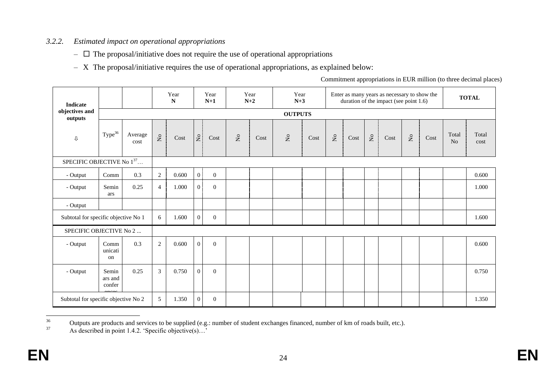# *3.2.2. Estimated impact on operational appropriations*

- $\Box$  The proposal/initiative does not require the use of operational appropriations
- X The proposal/initiative requires the use of operational appropriations, as explained below:

Commitment appropriations in EUR million (to three decimal places)

| <b>Indicate</b>                      |                                      |                 |                | Year<br>$\mathbf N$ |                | Year<br>$N+1$    |                                                    | Year<br>$N+2$ | Year<br>$N+3$             |                     |                           |      |                         | Enter as many years as necessary to show the<br>duration of the impact (see point 1.6) |                               |      |             | <b>TOTAL</b>  |
|--------------------------------------|--------------------------------------|-----------------|----------------|---------------------|----------------|------------------|----------------------------------------------------|---------------|---------------------------|---------------------|---------------------------|------|-------------------------|----------------------------------------------------------------------------------------|-------------------------------|------|-------------|---------------|
| objectives and<br>outputs            |                                      |                 |                |                     |                |                  |                                                    |               | <b>OUTPUTS</b>            |                     |                           |      |                         |                                                                                        |                               |      |             |               |
| $\mathbb Q$                          | Type <sup>36</sup>                   | Average<br>cost | $\mathsf{S}$   | $\mathop{\rm Cost}$ | N <sub>o</sub> | Cost             | $\rm \stackrel{\circ}{\rm \stackrel{>}{\rm \sim}}$ | Cost          | $\mathsf{S}^{\mathsf{o}}$ | $\mathop{\rm Cost}$ | $\mathsf{S}^{\mathsf{o}}$ | Cost | $\mathsf{N}_\mathsf{O}$ | Cost                                                                                   | $\rm \stackrel{\circ}{\rm X}$ | Cost | Total<br>No | Total<br>cost |
| SPECIFIC OBJECTIVE No 137            |                                      |                 |                |                     |                |                  |                                                    |               |                           |                     |                           |      |                         |                                                                                        |                               |      |             |               |
| - Output                             | Comm                                 | 0.3             | $\sqrt{2}$     | 0.600               | $\overline{0}$ | $\mathbf{0}$     |                                                    |               |                           |                     |                           |      |                         |                                                                                        |                               |      |             | 0.600         |
| - Output                             | Semin<br>ars                         | 0.25            | $\overline{4}$ | 1.000               | $\overline{0}$ | $\overline{0}$   |                                                    |               |                           |                     |                           |      |                         |                                                                                        |                               |      |             | 1.000         |
| - Output                             |                                      |                 |                |                     |                |                  |                                                    |               |                           |                     |                           |      |                         |                                                                                        |                               |      |             |               |
| Subtotal for specific objective No 1 |                                      |                 | 6              | 1.600               | $\overline{0}$ | $\mathbf{0}$     |                                                    |               |                           |                     |                           |      |                         |                                                                                        |                               |      |             | 1.600         |
| SPECIFIC OBJECTIVE No 2              |                                      |                 |                |                     |                |                  |                                                    |               |                           |                     |                           |      |                         |                                                                                        |                               |      |             |               |
| - Output                             | Comm<br>unicati<br>on                | 0.3             | $\overline{2}$ | 0.600               | $\overline{0}$ | $\boldsymbol{0}$ |                                                    |               |                           |                     |                           |      |                         |                                                                                        |                               |      |             | 0.600         |
| - Output                             | Semin<br>ars and<br>confer           | 0.25            | $\mathfrak{Z}$ | 0.750               | $\Omega$       | $\overline{0}$   |                                                    |               |                           |                     |                           |      |                         |                                                                                        |                               |      |             | 0.750         |
|                                      | Subtotal for specific objective No 2 |                 |                | 1.350               | $\overline{0}$ | $\boldsymbol{0}$ |                                                    |               |                           |                     |                           |      |                         |                                                                                        |                               |      |             | 1.350         |

<sup>36</sup> <sup>36</sup> Outputs are products and services to be supplied (e.g.: number of student exchanges financed, number of km of roads built, etc.).

As described in point 1.4.2. 'Specific objective(s)...'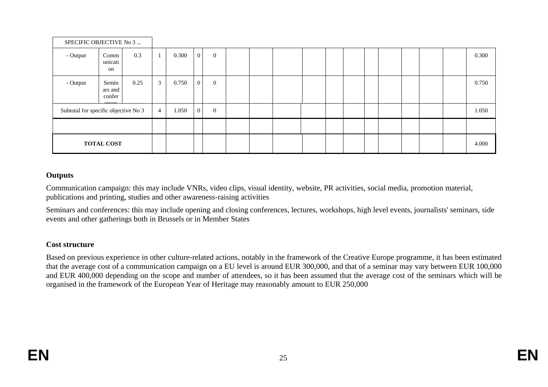| SPECIFIC OBJECTIVE No 3              |                            |      |                |       |                |                |  |  |  |  |  |       |
|--------------------------------------|----------------------------|------|----------------|-------|----------------|----------------|--|--|--|--|--|-------|
| - Output                             | Comm<br>unicati<br>on      | 0.3  | -1             | 0.300 | $\overline{0}$ | $\overline{0}$ |  |  |  |  |  | 0.300 |
| - Output                             | Semin<br>ars and<br>confer | 0.25 | $\mathbf{3}$   | 0.750 | $\overline{0}$ | $\overline{0}$ |  |  |  |  |  | 0.750 |
| Subtotal for specific objective No 3 |                            |      | $\overline{4}$ | 1.050 | $\overline{0}$ | $\overline{0}$ |  |  |  |  |  | 1.050 |
|                                      |                            |      |                |       |                |                |  |  |  |  |  |       |
|                                      | <b>TOTAL COST</b>          |      |                |       |                |                |  |  |  |  |  | 4.000 |

#### **Outputs**

Communication campaign: this may include VNRs, video clips, visual identity, website, PR activities, social media, promotion material, publications and printing, studies and other awareness-raising activities

Seminars and conferences: this may include opening and closing conferences, lectures, workshops, high level events, journalists' seminars, side events and other gatherings both in Brussels or in Member States

## **Cost structure**

Based on previous experience in other culture-related actions, notably in the framework of the Creative Europe programme, it has been estimated that the average cost of a communication campaign on a EU level is around EUR 300,000, and that of a seminar may vary between EUR 100,000 and EUR 400,000 depending on the scope and number of attendees, so it has been assumed that the average cost of the seminars which will be organised in the framework of the European Year of Heritage may reasonably amount to EUR 250,000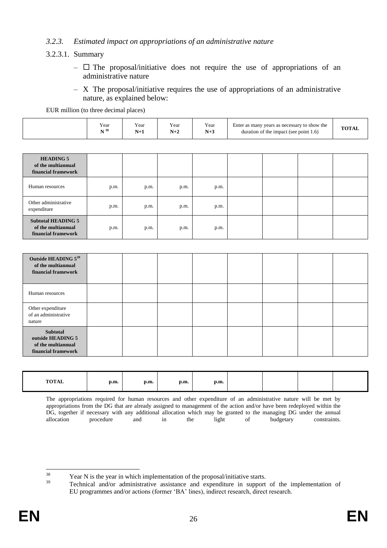## *3.2.3. Estimated impact on appropriations of an administrative nature*

### 3.2.3.1. Summary

- $\Box$  The proposal/initiative does not require the use of appropriations of an administrative nature
- X The proposal/initiative requires the use of appropriations of an administrative nature, as explained below:

EUR million (to three decimal places)

| Year<br>$ -$<br>$\cdot$ $\cdot$<br>Enter as many years as necessary to show the<br>Y ear<br>Year<br>r ear<br><b>NT 38</b><br>N+3<br>duration of the impact (see point 1.6) | <b>TOTAL</b> |
|----------------------------------------------------------------------------------------------------------------------------------------------------------------------------|--------------|
|----------------------------------------------------------------------------------------------------------------------------------------------------------------------------|--------------|

| <b>HEADING 5</b><br>of the multiannual<br>financial framework          |      |      |      |      |  |  |
|------------------------------------------------------------------------|------|------|------|------|--|--|
| Human resources                                                        | p.m. | p.m. | p.m. | p.m. |  |  |
| Other administrative<br>expenditure                                    | p.m. | p.m. | p.m. | p.m. |  |  |
| <b>Subtotal HEADING 5</b><br>of the multiannual<br>financial framework | p.m. | p.m. | p.m. | p.m. |  |  |

| Outside HEADING 539<br>of the multiannual<br>financial framework           |  |  |  |  |
|----------------------------------------------------------------------------|--|--|--|--|
| Human resources                                                            |  |  |  |  |
| Other expenditure<br>of an administrative<br>nature                        |  |  |  |  |
| Subtotal<br>outside HEADING 5<br>of the multiannual<br>financial framework |  |  |  |  |

| <b>TOTAL</b> | p.m. | p.m. | p.m. | p.m. |  |  |
|--------------|------|------|------|------|--|--|
|              |      |      |      |      |  |  |

The appropriations required for human resources and other expenditure of an administrative nature will be met by appropriations from the DG that are already assigned to management of the action and/or have been redeployed within the DG, together if necessary with any additional allocation which may be granted to the managing DG under the annual allocation procedure and in the light of budgetary constraints. allocation procedure and in the light of budgetary constraints.

 $38$  $\frac{38}{39}$  Year N is the year in which implementation of the proposal/initiative starts.

<sup>39</sup> Technical and/or administrative assistance and expenditure in support of the implementation of EU programmes and/or actions (former 'BA' lines), indirect research, direct research.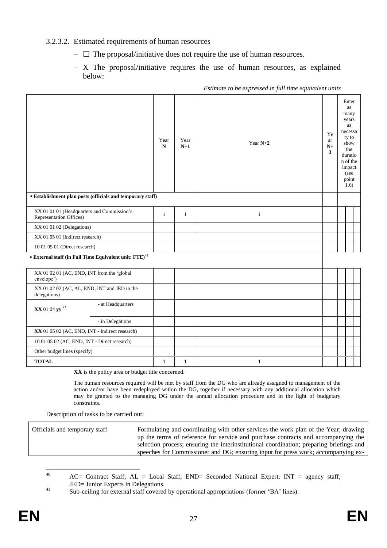### 3.2.3.2. Estimated requirements of human resources

- $\Box$  The proposal/initiative does not require the use of human resources.
- X The proposal/initiative requires the use of human resources, as explained below:

|                                                                            |                                                            |              |              |              | Year<br>$N+1$ | Year $N+2$ | Ye<br>ar<br>$N+$<br>3 | Enter<br>as<br>many<br>years<br>as<br>necessa<br>ry to<br>show<br>the<br>duratio<br>n of the<br>impact<br>(see<br>point<br>1.6) |  |
|----------------------------------------------------------------------------|------------------------------------------------------------|--------------|--------------|--------------|---------------|------------|-----------------------|---------------------------------------------------------------------------------------------------------------------------------|--|
|                                                                            | • Establishment plan posts (officials and temporary staff) |              |              |              |               |            |                       |                                                                                                                                 |  |
| XX 01 01 01 (Headquarters and Commission's<br>Representation Offices)      |                                                            | $\mathbf{1}$ | 1            | $\mathbf{1}$ |               |            |                       |                                                                                                                                 |  |
| XX 01 01 02 (Delegations)                                                  |                                                            |              |              |              |               |            |                       |                                                                                                                                 |  |
| XX 01 05 01 (Indirect research)                                            |                                                            |              |              |              |               |            |                       |                                                                                                                                 |  |
| 10 01 05 01 (Direct research)                                              |                                                            |              |              |              |               |            |                       |                                                                                                                                 |  |
| $\bullet$ External staff (in Full Time Equivalent unit: FTE) <sup>40</sup> |                                                            |              |              |              |               |            |                       |                                                                                                                                 |  |
| XX 01 02 01 (AC, END, INT from the 'global<br>envelope')                   |                                                            |              |              |              |               |            |                       |                                                                                                                                 |  |
| XX 01 02 02 (AC, AL, END, INT and JED in the<br>delegations)               |                                                            |              |              |              |               |            |                       |                                                                                                                                 |  |
| XX 01 04 yy <sup>41</sup>                                                  | - at Headquarters                                          |              |              |              |               |            |                       |                                                                                                                                 |  |
|                                                                            | - in Delegations                                           |              |              |              |               |            |                       |                                                                                                                                 |  |
| XX 01 05 02 (AC, END, INT - Indirect research)                             |                                                            |              |              |              |               |            |                       |                                                                                                                                 |  |
| 10 01 05 02 (AC, END, INT - Direct research)                               |                                                            |              |              |              |               |            |                       |                                                                                                                                 |  |
| Other budget lines (specify)                                               |                                                            |              |              |              |               |            |                       |                                                                                                                                 |  |
| <b>TOTAL</b>                                                               |                                                            | 1            | $\mathbf{1}$ | $\mathbf{1}$ |               |            |                       |                                                                                                                                 |  |

*Estimate to be expressed in full time equivalent units*

**XX** is the policy area or budget title concerned.

The human resources required will be met by staff from the DG who are already assigned to management of the action and/or have been redeployed within the DG, together if necessary with any additional allocation which may be granted to the managing DG under the annual allocation procedure and in the light of budgetary constraints.

Description of tasks to be carried out:

| Officials and temporary staff | Formulating and coordinating with other services the work plan of the Year; drawing      |
|-------------------------------|------------------------------------------------------------------------------------------|
|                               | up the terms of reference for service and purchase contracts and accompanying the        |
|                               | selection process; ensuring the interinstitutional coordination; preparing briefings and |
|                               | speeches for Commissioner and DG; ensuring input for press work; accompanying ex-        |

 $40$  $AC=$  Contract Staff;  $AL = Local$  Staff;  $END=$  Seconded National Expert;  $INT = agency$  staff; JED= Junior Experts in Delegations.

<sup>41</sup> Sub-ceiling for external staff covered by operational appropriations (former 'BA' lines).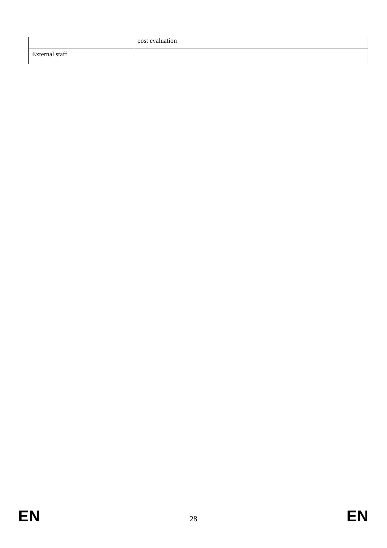|                | post evaluation |
|----------------|-----------------|
| External staff |                 |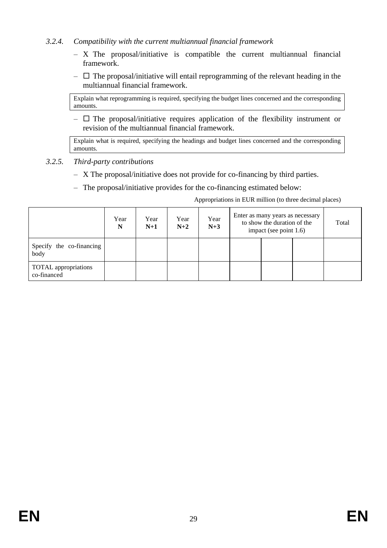# *3.2.4. Compatibility with the current multiannual financial framework*

- X The proposal/initiative is compatible the current multiannual financial framework.
- $\Box$  The proposal/initiative will entail reprogramming of the relevant heading in the multiannual financial framework.

Explain what reprogramming is required, specifying the budget lines concerned and the corresponding amounts.

 $\Box$  The proposal/initiative requires application of the flexibility instrument or revision of the multiannual financial framework.

Explain what is required, specifying the headings and budget lines concerned and the corresponding amounts.

- *3.2.5. Third-party contributions* 
	- X The proposal/initiative does not provide for co-financing by third parties.
	- The proposal/initiative provides for the co-financing estimated below:

Appropriations in EUR million (to three decimal places)

|                                     | Year<br>N | Year<br>$N+1$ | Year<br>$N+2$ | Year<br>$N+3$ | Enter as many years as necessary<br>to show the duration of the<br>impact (see point 1.6) |  |  | Total |
|-------------------------------------|-----------|---------------|---------------|---------------|-------------------------------------------------------------------------------------------|--|--|-------|
| Specify the co-financing<br>body    |           |               |               |               |                                                                                           |  |  |       |
| TOTAL appropriations<br>co-financed |           |               |               |               |                                                                                           |  |  |       |